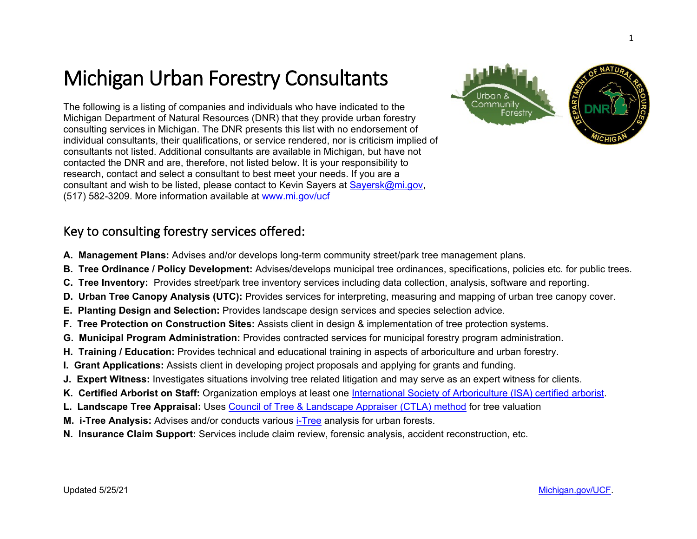## Michigan Urban Forestry Consultants

The following is a listing of companies and individuals who have indicated to the Michigan Department of Natural Resources (DNR) that they provide urban forestry consulting services in Michigan. The DNR presents this list with no endorsement of individual consultants, their qualifications, or service rendered, nor is criticism implied of consultants not listed. Additional consultants are available in Michigan, but have not contacted the DNR and are, therefore, not listed below. It is your responsibility to research, contact and select a consultant to best meet your needs. If you are a consultant and wish to be listed, please contact to Kevin Sayers at [Sayersk@mi.gov,](mailto:Sayersk@mi.gov) (517) 582-3209. More information available at [www.mi.gov/ucf](http://www.mi.gov/ucf)

## Key to consulting forestry services offered:

- **A. Management Plans:** Advises and/or develops long-term community street/park tree management plans.
- **B. Tree Ordinance / Policy Development:** Advises/develops municipal tree ordinances, specifications, policies etc. for public trees.
- **C. Tree Inventory:** Provides street/park tree inventory services including data collection, analysis, software and reporting.
- **D. Urban Tree Canopy Analysis (UTC):** Provides services for interpreting, measuring and mapping of urban tree canopy cover.
- **E. Planting Design and Selection:** Provides landscape design services and species selection advice.
- **F. Tree Protection on Construction Sites:** Assists client in design & implementation of tree protection systems.
- **G. Municipal Program Administration:** Provides contracted services for municipal forestry program administration.
- **H. Training / Education:** Provides technical and educational training in aspects of arboriculture and urban forestry.
- **I. Grant Applications:** Assists client in developing project proposals and applying for grants and funding.
- **J. Expert Witness:** Investigates situations involving tree related litigation and may serve as an expert witness for clients.
- K. Certified Arborist on Staff: Organization employs at least one [International Society of Arboriculture \(ISA\) certified arborist.](https://www.isa-arbor.com/Credentials/Types-of-Credentials/ISA-Certified-Arborist)
- **L. Landscape Tree Appraisal:** Uses [Council of Tree & Landscape Appraiser \(CTLA\) method](https://wwv.isa-arbor.com/store/product/4390) for tree valuation
- **M. i-Tree Analysis:** Advises and/or conducts various [i-Tree](http://www.itreetools.org/) analysis for urban forests.
- **N. Insurance Claim Support:** Services include claim review, forensic analysis, accident reconstruction, etc.

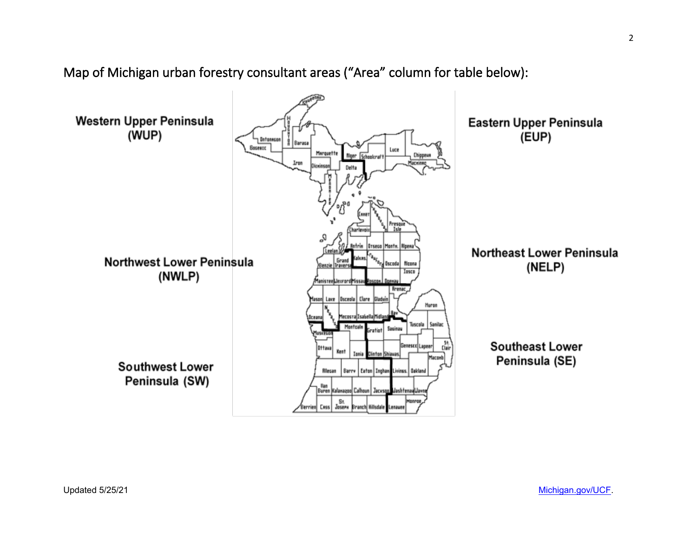

Map of Michigan urban forestry consultant areas ("Area" column for table below):

Updated 5/25/21 [Michigan.gov/UCF.](http://www.michigan.gov/UCF)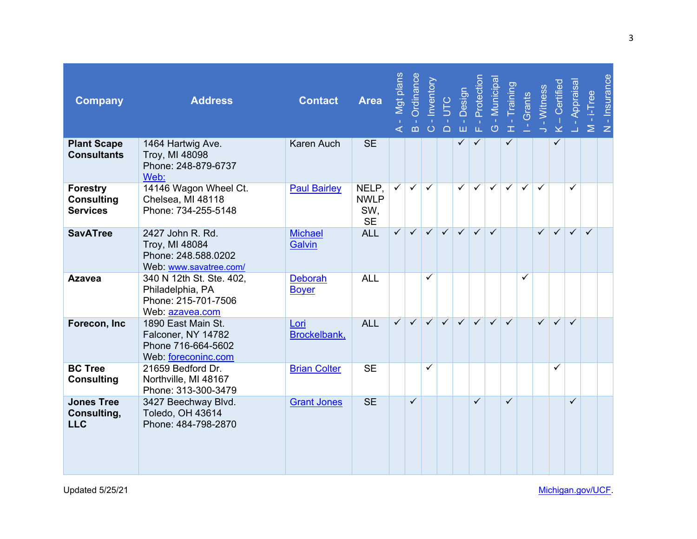| <b>Company</b>                                          | <b>Address</b>                                                                         | <b>Contact</b>                 | <b>Area</b>                              | Mgt plans<br>⋖          | Ordinance<br>$\mathbf{m}$ | <b>Inventory</b>        | UTC<br>$O_1$ $O_2$ | Design<br>$\stackrel{\rightarrow}{\boxplus}$ | Protection<br>凿         | - Municipa<br><b>C</b> | Training<br>$\mathbf T$ | Grants       | - Witness<br>$\rightarrow$ | $-$ Certified<br>$\propto$ | Appraisal    | $M - i$ -Tree | - Insurance<br>$\mathsf Z$ |
|---------------------------------------------------------|----------------------------------------------------------------------------------------|--------------------------------|------------------------------------------|-------------------------|---------------------------|-------------------------|--------------------|----------------------------------------------|-------------------------|------------------------|-------------------------|--------------|----------------------------|----------------------------|--------------|---------------|----------------------------|
| <b>Plant Scape</b><br><b>Consultants</b>                | 1464 Hartwig Ave.<br>Troy, MI 48098<br>Phone: 248-879-6737<br>Web:                     | <b>Karen Auch</b>              | <b>SE</b>                                |                         |                           |                         |                    | ✓                                            | $\checkmark$            |                        | ✓                       |              |                            | ✓                          |              |               |                            |
| <b>Forestry</b><br><b>Consulting</b><br><b>Services</b> | 14146 Wagon Wheel Ct.<br>Chelsea, MI 48118<br>Phone: 734-255-5148                      | <b>Paul Bairley</b>            | NELP.<br><b>NWLP</b><br>SW.<br><b>SE</b> | $\checkmark$            | $\checkmark$              | $\checkmark$            |                    | $\checkmark$                                 | $\overline{\checkmark}$ | $\checkmark$           | $\checkmark$            | $\checkmark$ | $\checkmark$               |                            | ✓            |               |                            |
| <b>SavATree</b>                                         | 2427 John R. Rd.<br>Troy, MI 48084<br>Phone: 248.588.0202<br>Web: www.savatree.com/    | <b>Michael</b><br>Galvin       | <b>ALL</b>                               | $\checkmark$            | $\checkmark$              | $\checkmark$            | $\checkmark$       | $\checkmark$                                 | $\checkmark$            | $\checkmark$           |                         |              | $\checkmark$               | $\checkmark$               | $\checkmark$ | $\checkmark$  |                            |
| <b>Azavea</b>                                           | 340 N 12th St. Ste. 402,<br>Philadelphia, PA<br>Phone: 215-701-7506<br>Web: azavea.com | <b>Deborah</b><br><b>Boyer</b> | <b>ALL</b>                               |                         |                           | $\checkmark$            |                    |                                              |                         |                        |                         | $\checkmark$ |                            |                            |              |               |                            |
| Forecon, Inc                                            | 1890 East Main St.<br>Falconer, NY 14782<br>Phone 716-664-5602<br>Web: foreconinc.com  | Lori<br>Brockelbank,           | <b>ALL</b>                               | $\overline{\checkmark}$ | $\overline{\checkmark}$   | $\overline{\checkmark}$ | $\sqrt{}$          | $\overline{\checkmark}$                      | $\overline{\checkmark}$ | $\checkmark$           | $\checkmark$            |              | $\checkmark$               | $\checkmark$               | $\checkmark$ |               |                            |
| <b>BC Tree</b><br><b>Consulting</b>                     | 21659 Bedford Dr.<br>Northville, MI 48167<br>Phone: 313-300-3479                       | <b>Brian Colter</b>            | <b>SE</b>                                |                         |                           | $\checkmark$            |                    |                                              |                         |                        |                         |              |                            | ✓                          |              |               |                            |
| <b>Jones Tree</b><br>Consulting,<br><b>LLC</b>          | 3427 Beechway Blvd.<br><b>Toledo, OH 43614</b><br>Phone: 484-798-2870                  | <b>Grant Jones</b>             | <b>SE</b>                                |                         | $\checkmark$              |                         |                    |                                              | $\checkmark$            |                        | $\checkmark$            |              |                            |                            | $\checkmark$ |               |                            |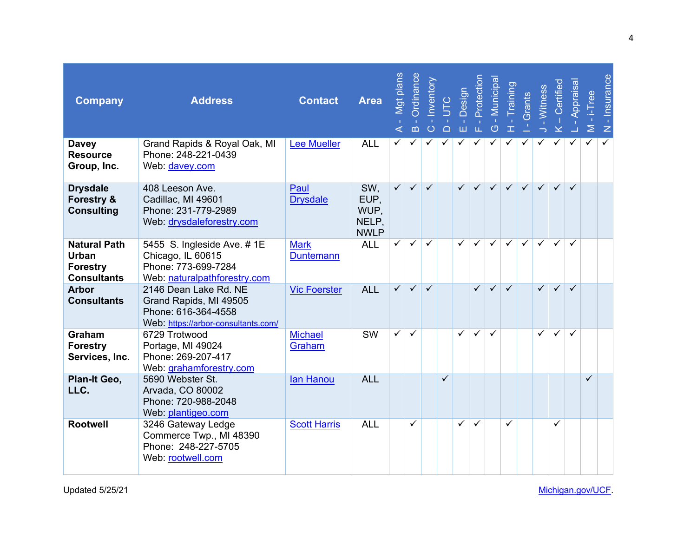| <b>Company</b>                                                               | <b>Address</b>                                                                                                | <b>Contact</b>                  | <b>Area</b>                                 | Mgt plans<br>⋖          | Ordinance<br>$\Omega$   | Inventory<br>$\circ$ | <b>UTC</b><br>$\Box$ | Design<br>$\mathbf{u}$<br>ш | Protection<br>$\mathbf{L}$ . | Municipa<br>$\circ$     | Training<br>$\pm$ | Grants       | Witness                 | - Certified<br>$\geq$   | Appraisa                | $-1$ -Tree<br>$\geq$ | - Insurance<br>$\overline{z}$ |
|------------------------------------------------------------------------------|---------------------------------------------------------------------------------------------------------------|---------------------------------|---------------------------------------------|-------------------------|-------------------------|----------------------|----------------------|-----------------------------|------------------------------|-------------------------|-------------------|--------------|-------------------------|-------------------------|-------------------------|----------------------|-------------------------------|
| <b>Davey</b><br><b>Resource</b><br>Group, Inc.                               | Grand Rapids & Royal Oak, MI<br>Phone: 248-221-0439<br>Web: davey.com                                         | <b>Lee Mueller</b>              | <b>ALL</b>                                  | ✓                       | ✓                       | ✓                    | ✓                    | $\checkmark$                | ✓                            | ✓                       | ✓                 | ✓            | ✓                       | $\checkmark$            | ✓                       | ✓                    | $\checkmark$                  |
| <b>Drysdale</b><br><b>Forestry &amp;</b><br><b>Consulting</b>                | 408 Leeson Ave.<br>Cadillac, MI 49601<br>Phone: 231-779-2989<br>Web: drysdaleforestry.com                     | Paul<br><b>Drysdale</b>         | SW.<br>EUP,<br>WUP,<br>NELP.<br><b>NWLP</b> | $\checkmark$            | $\checkmark$            | $\checkmark$         |                      | $\checkmark$                | $\checkmark$                 | $\checkmark$            | $\checkmark$      | $\checkmark$ | $\checkmark$            | $\checkmark$            | $\checkmark$            |                      |                               |
| <b>Natural Path</b><br><b>Urban</b><br><b>Forestry</b><br><b>Consultants</b> | 5455 S. Ingleside Ave. #1E<br>Chicago, IL 60615<br>Phone: 773-699-7284<br>Web: naturalpathforestry.com        | <b>Mark</b><br><b>Duntemann</b> | <b>ALL</b>                                  | $\checkmark$            | $\checkmark$            | $\checkmark$         |                      | $\checkmark$                | $\checkmark$                 | $\overline{\checkmark}$ | $\checkmark$      | $\checkmark$ | $\checkmark$            | $\checkmark$            | $\checkmark$            |                      |                               |
| <b>Arbor</b><br><b>Consultants</b>                                           | 2146 Dean Lake Rd. NE<br>Grand Rapids, MI 49505<br>Phone: 616-364-4558<br>Web: https://arbor-consultants.com/ | <b>Vic Foerster</b>             | <b>ALL</b>                                  | $\overline{\checkmark}$ | $\overline{\checkmark}$ | $\checkmark$         |                      |                             | $\checkmark$                 | $\overline{\checkmark}$ | $\checkmark$      |              | $\overline{\checkmark}$ | $\overline{\checkmark}$ | $\checkmark$            |                      |                               |
| Graham<br><b>Forestry</b><br>Services, Inc.                                  | 6729 Trotwood<br>Portage, MI 49024<br>Phone: 269-207-417<br>Web: grahamforestry.com                           | <b>Michael</b><br>Graham        | <b>SW</b>                                   | $\checkmark$            | $\checkmark$            |                      |                      | $\overline{\checkmark}$     | $\overline{\checkmark}$      | $\overline{\checkmark}$ |                   |              | $\checkmark$            | $\overline{\checkmark}$ | $\overline{\checkmark}$ |                      |                               |
| Plan-It Geo,<br>LLC.                                                         | 5690 Webster St.<br>Arvada, CO 80002<br>Phone: 720-988-2048<br>Web: plantigeo.com                             | lan Hanou                       | <b>ALL</b>                                  |                         |                         |                      | $\checkmark$         |                             |                              |                         |                   |              |                         |                         |                         | ✓                    |                               |
| <b>Rootwell</b>                                                              | 3246 Gateway Ledge<br>Commerce Twp., MI 48390<br>Phone: 248-227-5705<br>Web: rootwell.com                     | <b>Scott Harris</b>             | <b>ALL</b>                                  |                         | ✓                       |                      |                      | $\sqrt{ }$                  | $\checkmark$                 |                         | ✓                 |              |                         | ✓                       |                         |                      |                               |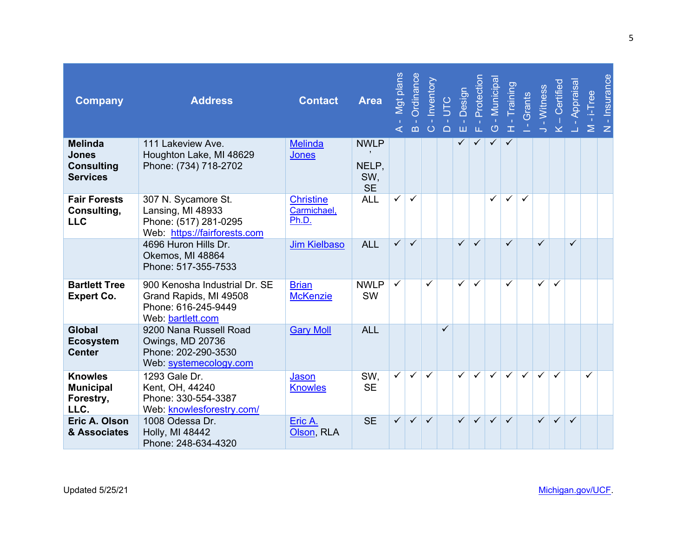| <b>Company</b>                                                         | <b>Address</b>                                                                                      | <b>Contact</b>                           | <b>Area</b>                              | Mgt plans<br>$\triangleleft$ | Ordinance<br>$\mathbf{m}$ | Inventory<br>$\circ$ | $\Box$       | ш            | UTC<br>Design<br>Protection<br>LL. | - Municipa<br>$\circ$ | $\mathbf{I}$ | - Training<br>Grants | J - Witness  | K – Certified           | Appraisal<br>ं ≥ | $-i$ Tree    | <b>Insurance</b><br>$\mathbf{r}$<br>$\mathbb{Z}$ |
|------------------------------------------------------------------------|-----------------------------------------------------------------------------------------------------|------------------------------------------|------------------------------------------|------------------------------|---------------------------|----------------------|--------------|--------------|------------------------------------|-----------------------|--------------|----------------------|--------------|-------------------------|------------------|--------------|--------------------------------------------------|
| <b>Melinda</b><br><b>Jones</b><br><b>Consulting</b><br><b>Services</b> | 111 Lakeview Ave.<br>Houghton Lake, MI 48629<br>Phone: (734) 718-2702                               | <b>Melinda</b><br><b>Jones</b>           | <b>NWLP</b><br>NELP.<br>SW,<br><b>SE</b> |                              |                           |                      |              | ✓            | ✓                                  | ✓                     | ✓            |                      |              |                         |                  |              |                                                  |
| <b>Fair Forests</b><br>Consulting,<br><b>LLC</b>                       | 307 N. Sycamore St.<br>Lansing, MI 48933<br>Phone: (517) 281-0295<br>Web: https://fairforests.com   | <b>Christine</b><br>Carmichael,<br>Ph.D. | <b>ALL</b>                               | $\checkmark$                 | $\checkmark$              |                      |              |              |                                    | $\checkmark$          | $\checkmark$ | $\checkmark$         |              |                         |                  |              |                                                  |
|                                                                        | 4696 Huron Hills Dr.<br>Okemos, MI 48864<br>Phone: 517-355-7533                                     | <b>Jim Kielbaso</b>                      | <b>ALL</b>                               | $\checkmark$                 | $\checkmark$              |                      |              | $\checkmark$ | $\checkmark$                       |                       | ✓            |                      | $\checkmark$ |                         | $\checkmark$     |              |                                                  |
| <b>Bartlett Tree</b><br><b>Expert Co.</b>                              | 900 Kenosha Industrial Dr. SE<br>Grand Rapids, MI 49508<br>Phone: 616-245-9449<br>Web: bartlett.com | <b>Brian</b><br><b>McKenzie</b>          | <b>NWLP</b><br><b>SW</b>                 | $\checkmark$                 |                           | $\checkmark$         |              | $\checkmark$ | $\checkmark$                       |                       | ✓            |                      | $\checkmark$ | $\checkmark$            |                  |              |                                                  |
| <b>Global</b><br><b>Ecosystem</b><br><b>Center</b>                     | 9200 Nana Russell Road<br>Owings, MD 20736<br>Phone: 202-290-3530<br>Web: systemecology.com         | <b>Gary Moll</b>                         | <b>ALL</b>                               |                              |                           |                      | $\checkmark$ |              |                                    |                       |              |                      |              |                         |                  |              |                                                  |
| <b>Knowles</b><br><b>Municipal</b><br>Forestry,<br>LLC.                | 1293 Gale Dr.<br>Kent, OH, 44240<br>Phone: 330-554-3387<br>Web: knowlesforestry.com/                | Jason<br><b>Knowles</b>                  | SW.<br><b>SE</b>                         | $\overline{\checkmark}$      | $\checkmark$              | $\checkmark$         |              | $\checkmark$ | $\overline{\checkmark}$            | $\checkmark$          | $\checkmark$ | $\checkmark$         | $\checkmark$ | ✓                       |                  | $\checkmark$ |                                                  |
| Eric A. Olson<br>& Associates                                          | 1008 Odessa Dr.<br>Holly, MI 48442<br>Phone: 248-634-4320                                           | Eric A.<br>Olson, RLA                    | <b>SE</b>                                | $\checkmark$                 | $\checkmark$              | $\checkmark$         |              | $\checkmark$ | $\overline{\checkmark}$            | $\checkmark$          | $\checkmark$ |                      | $\checkmark$ | $\overline{\checkmark}$ | $\checkmark$     |              |                                                  |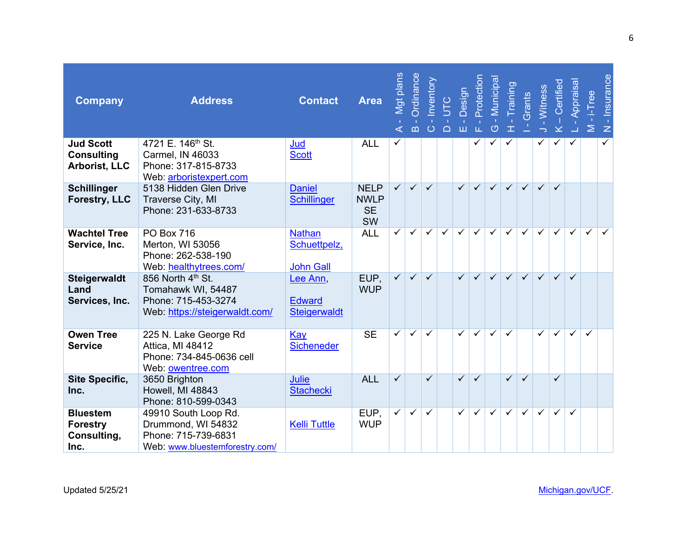| <b>Company</b>                                                | <b>Address</b>                                                                                      | <b>Contact</b>                                    | <b>Area</b>                                          | Mgt plans<br>$\mathbf{I}$<br>$\triangleleft$ | Ordinance<br>$\mathbf{m}$ | Inventory<br>$\circ$    | UTC<br>$\Box$ | Design<br>$\mathbf{I}$<br>Ш | Protection<br>LL.       | <u>Municipa</u><br>$\circ$ | Training<br>$\mathbf T$ | Grants       | <b>Witness</b><br>$\mathbf{L}$ | Certified<br>$\ddot{\underline{\mathsf{x}}}$ | Appraisal               | $-i$ Tree<br>$\geq$     | <b>Insurance</b><br>$\mathbf{u}$<br>$\mathsf{z}$ |
|---------------------------------------------------------------|-----------------------------------------------------------------------------------------------------|---------------------------------------------------|------------------------------------------------------|----------------------------------------------|---------------------------|-------------------------|---------------|-----------------------------|-------------------------|----------------------------|-------------------------|--------------|--------------------------------|----------------------------------------------|-------------------------|-------------------------|--------------------------------------------------|
| <b>Jud Scott</b><br><b>Consulting</b><br><b>Arborist, LLC</b> | 4721 E. 146 <sup>th</sup> St.<br>Carmel, IN 46033<br>Phone: 317-815-8733<br>Web: arboristexpert.com | Jud<br><b>Scott</b>                               | <b>ALL</b>                                           | ✓                                            |                           |                         |               |                             | ✓                       | ✓                          | ✓                       |              | ✓                              | ✓                                            | ✓                       |                         | $\overline{\checkmark}$                          |
| <b>Schillinger</b><br><b>Forestry, LLC</b>                    | 5138 Hidden Glen Drive<br>Traverse City, MI<br>Phone: 231-633-8733                                  | <b>Daniel</b><br><b>Schillinger</b>               | <b>NELP</b><br><b>NWLP</b><br><b>SE</b><br><b>SW</b> | $\checkmark$                                 | $\checkmark$              | $\checkmark$            |               | $\checkmark$                | $\checkmark$            | $\checkmark$               | $\checkmark$            | $\checkmark$ | $\checkmark$                   | $\checkmark$                                 |                         |                         |                                                  |
| <b>Wachtel Tree</b><br>Service, Inc.                          | <b>PO Box 716</b><br>Merton, WI 53056<br>Phone: 262-538-190<br>Web: healthytrees.com/               | <b>Nathan</b><br>Schuettpelz,<br><b>John Gall</b> | <b>ALL</b>                                           | $\checkmark$                                 | $\overline{\checkmark}$   | $\overline{\checkmark}$ | ✓             | $\overline{\checkmark}$     | $\overline{\checkmark}$ | $\overline{\checkmark}$    | $\overline{\checkmark}$ | $\checkmark$ | $\checkmark$                   | $\overline{\checkmark}$                      | $\overline{\checkmark}$ | $\overline{\checkmark}$ | $\checkmark$                                     |
| Steigerwaldt<br>Land<br>Services, Inc.                        | 856 North 4th St.<br>Tomahawk WI, 54487<br>Phone: 715-453-3274<br>Web: https://steigerwaldt.com/    | Lee Ann<br><b>Edward</b><br><b>Steigerwaldt</b>   | EUP,<br><b>WUP</b>                                   | $\checkmark$                                 | $\checkmark$              | $\checkmark$            |               | $\checkmark$                | $\overline{\checkmark}$ | $\checkmark$               | $\checkmark$            | $\checkmark$ | $\checkmark$                   | $\overline{\checkmark}$                      | $\checkmark$            |                         |                                                  |
| <b>Owen Tree</b><br><b>Service</b>                            | 225 N. Lake George Rd<br>Attica, MI 48412<br>Phone: 734-845-0636 cell<br>Web: owentree.com          | Kay<br><b>Sicheneder</b>                          | <b>SE</b>                                            | $\checkmark$                                 | $\checkmark$              | $\checkmark$            |               | $\checkmark$                | $\overline{\checkmark}$ | $\overline{\checkmark}$    | $\checkmark$            |              | $\checkmark$                   | $\overline{\checkmark}$                      | $\overline{\checkmark}$ | $\checkmark$            |                                                  |
| <b>Site Specific,</b><br>Inc.                                 | 3650 Brighton<br>Howell, MI 48843<br>Phone: 810-599-0343                                            | <b>Julie</b><br><b>Stachecki</b>                  | <b>ALL</b>                                           | $\checkmark$                                 |                           | $\checkmark$            |               | $\checkmark$                | $\checkmark$            |                            | $\checkmark$            | $\checkmark$ |                                | $\checkmark$                                 |                         |                         |                                                  |
| <b>Bluestem</b><br><b>Forestry</b><br>Consulting,<br>Inc.     | 49910 South Loop Rd.<br>Drummond, WI 54832<br>Phone: 715-739-6831<br>Web: www.bluestemforestry.com/ | <b>Kelli Tuttle</b>                               | EUP,<br><b>WUP</b>                                   | $\overline{\checkmark}$                      | $\checkmark$              | $\checkmark$            |               | $\checkmark$                | $\overline{\checkmark}$ | $\overline{\checkmark}$    | $\checkmark$            | $\checkmark$ | $\checkmark$                   | $\checkmark$                                 | $\checkmark$            |                         |                                                  |